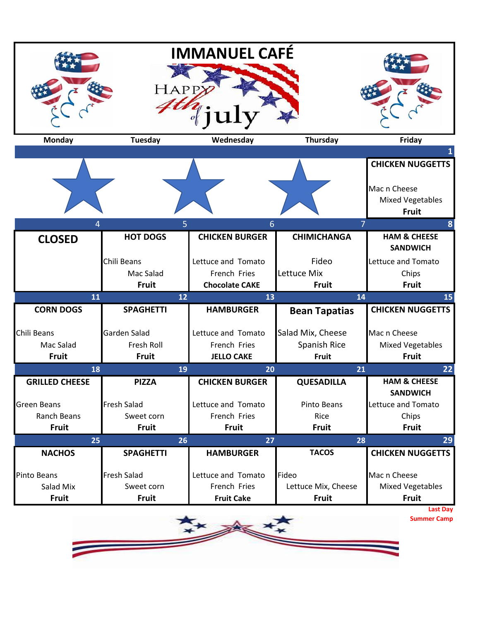|                                    | <b>HAPP</b>      | <b>IMMANUEL CAFÉ</b>  |                      |                                                         |  |  |
|------------------------------------|------------------|-----------------------|----------------------|---------------------------------------------------------|--|--|
| <b>Monday</b>                      | <b>Tuesday</b>   | Wednesday             | <b>Thursday</b>      | Friday                                                  |  |  |
|                                    |                  |                       |                      | <b>CHICKEN NUGGETTS</b>                                 |  |  |
|                                    |                  |                       |                      | Mac n Cheese<br><b>Mixed Vegetables</b><br><b>Fruit</b> |  |  |
| $\overline{7}$<br>5<br>6<br>8<br>4 |                  |                       |                      |                                                         |  |  |
| <b>CLOSED</b>                      | <b>HOT DOGS</b>  | <b>CHICKEN BURGER</b> | <b>CHIMICHANGA</b>   | <b>HAM &amp; CHEESE</b><br><b>SANDWICH</b>              |  |  |
|                                    | Chili Beans      | Lettuce and Tomato    | Fideo                | Lettuce and Tomato                                      |  |  |
|                                    | Mac Salad        | French Fries          | Lettuce Mix          | Chips                                                   |  |  |
|                                    | <b>Fruit</b>     | <b>Chocolate CAKE</b> | <b>Fruit</b>         | Fruit                                                   |  |  |
| 11                                 | 12               | 13                    | 14                   | 15                                                      |  |  |
| <b>CORN DOGS</b>                   | <b>SPAGHETTI</b> | <b>HAMBURGER</b>      | <b>Bean Tapatias</b> | <b>CHICKEN NUGGETTS</b>                                 |  |  |
| Chili Beans                        | Garden Salad     | Lettuce and Tomato    | Salad Mix, Cheese    | Mac n Cheese                                            |  |  |
| Mac Salad                          | Fresh Roll       | French Fries          | Spanish Rice         | <b>Mixed Vegetables</b>                                 |  |  |
| <b>Fruit</b>                       | <b>Fruit</b>     | <b>JELLO CAKE</b>     | Fruit                | <b>Fruit</b>                                            |  |  |
| 18                                 | 19               | 20                    | 21                   | 22                                                      |  |  |
| <b>GRILLED CHEESE</b>              | <b>PIZZA</b>     | <b>CHICKEN BURGER</b> | <b>QUESADILLA</b>    | <b>HAM &amp; CHEESE</b><br><b>SANDWICH</b>              |  |  |
|                                    |                  |                       |                      |                                                         |  |  |
| <b>Green Beans</b>                 | Fresh Salad      | Lettuce and Tomato    | Pinto Beans          | Lettuce and Tomato                                      |  |  |
| <b>Ranch Beans</b>                 | Sweet corn       | French Fries          | Rice                 | Chips                                                   |  |  |
| <b>Fruit</b>                       | <b>Fruit</b>     | <b>Fruit</b>          | <b>Fruit</b>         | <b>Fruit</b>                                            |  |  |
| 25                                 | 26               | 27                    | 28                   | 29                                                      |  |  |
| <b>NACHOS</b>                      | <b>SPAGHETTI</b> | <b>HAMBURGER</b>      | <b>TACOS</b>         |                                                         |  |  |
| Pinto Beans                        | Fresh Salad      | Lettuce and Tomato    | Fideo                | Mac n Cheese                                            |  |  |
| Salad Mix                          | Sweet corn       | French Fries          | Lettuce Mix, Cheese  | <b>CHICKEN NUGGETTS</b><br><b>Mixed Vegetables</b>      |  |  |
| <b>Fruit</b>                       | <b>Fruit</b>     | <b>Fruit Cake</b>     | <b>Fruit</b>         | <b>Fruit</b>                                            |  |  |